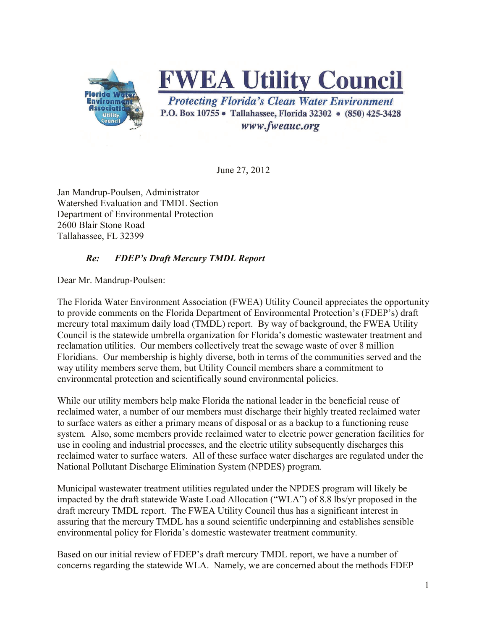

**FWEA Utility Council** 

**Protecting Florida's Clean Water Environment** P.O. Box 10755 · Tallahassee, Florida 32302 · (850) 425-3428 www.fweauc.org

June 27, 2012

Jan Mandrup-Poulsen, Administrator Watershed Evaluation and TMDL Section Department of Environmental Protection 2600 Blair Stone Road Tallahassee, FL 32399

## *Re: FDEP's Draft Mercury TMDL Report*

Dear Mr. Mandrup-Poulsen:

The Florida Water Environment Association (FWEA) Utility Council appreciates the opportunity to provide comments on the Florida Department of Environmental Protection's (FDEP's) draft mercury total maximum daily load (TMDL) report. By way of background, the FWEA Utility Council is the statewide umbrella organization for Florida's domestic wastewater treatment and reclamation utilities. Our members collectively treat the sewage waste of over 8 million Floridians. Our membership is highly diverse, both in terms of the communities served and the way utility members serve them, but Utility Council members share a commitment to environmental protection and scientifically sound environmental policies.

While our utility members help make Florida the national leader in the beneficial reuse of reclaimed water, a number of our members must discharge their highly treated reclaimed water to surface waters as either a primary means of disposal or as a backup to a functioning reuse system. Also, some members provide reclaimed water to electric power generation facilities for use in cooling and industrial processes, and the electric utility subsequently discharges this reclaimed water to surface waters. All of these surface water discharges are regulated under the National Pollutant Discharge Elimination System (NPDES) program.

Municipal wastewater treatment utilities regulated under the NPDES program will likely be impacted by the draft statewide Waste Load Allocation ("WLA") of 8.8 lbs/yr proposed in the draft mercury TMDL report. The FWEA Utility Council thus has a significant interest in assuring that the mercury TMDL has a sound scientific underpinning and establishes sensible environmental policy for Florida's domestic wastewater treatment community.

Based on our initial review of FDEP's draft mercury TMDL report, we have a number of concerns regarding the statewide WLA. Namely, we are concerned about the methods FDEP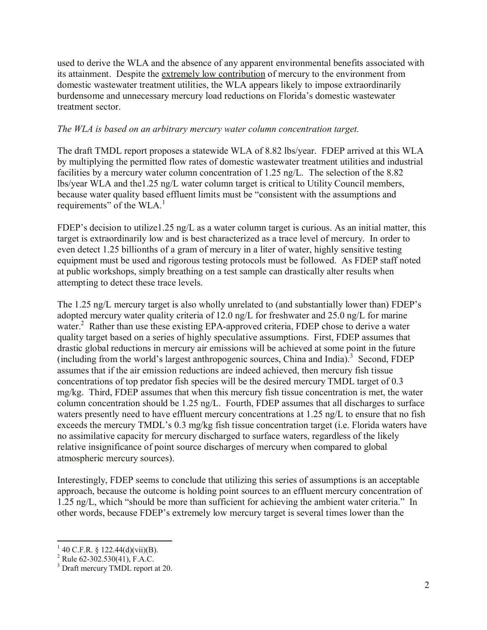used to derive the WLA and the absence of any apparent environmental benefits associated with its attainment. Despite the extremely low contribution of mercury to the environment from domestic wastewater treatment utilities, the WLA appears likely to impose extraordinarily burdensome and unnecessary mercury load reductions on Florida's domestic wastewater treatment sector.

## *The WLA is based on an arbitrary mercury water column concentration target.*

The draft TMDL report proposes a statewide WLA of 8.82 lbs/year. FDEP arrived at this WLA by multiplying the permitted flow rates of domestic wastewater treatment utilities and industrial facilities by a mercury water column concentration of 1.25 ng/L. The selection of the 8.82 lbs/year WLA and the1.25 ng/L water column target is critical to Utility Council members, because water quality based effluent limits must be "consistent with the assumptions and requirements" of the WLA.<sup>1</sup>

FDEP's decision to utilize1.25 ng/L as a water column target is curious. As an initial matter, this target is extraordinarily low and is best characterized as a trace level of mercury. In order to even detect 1.25 billionths of a gram of mercury in a liter of water, highly sensitive testing equipment must be used and rigorous testing protocols must be followed. As FDEP staff noted at public workshops, simply breathing on a test sample can drastically alter results when attempting to detect these trace levels.

The 1.25 ng/L mercury target is also wholly unrelated to (and substantially lower than) FDEP's adopted mercury water quality criteria of 12.0 ng/L for freshwater and 25.0 ng/L for marine water.<sup>2</sup> Rather than use these existing EPA-approved criteria, FDEP chose to derive a water quality target based on a series of highly speculative assumptions. First, FDEP assumes that drastic global reductions in mercury air emissions will be achieved at some point in the future (including from the world's largest anthropogenic sources, China and India). 3 Second, FDEP assumes that if the air emission reductions are indeed achieved, then mercury fish tissue concentrations of top predator fish species will be the desired mercury TMDL target of 0.3 mg/kg. Third, FDEP assumes that when this mercury fish tissue concentration is met, the water column concentration should be 1.25 ng/L. Fourth, FDEP assumes that all discharges to surface waters presently need to have effluent mercury concentrations at 1.25 ng/L to ensure that no fish exceeds the mercury TMDL's 0.3 mg/kg fish tissue concentration target (i.e. Florida waters have no assimilative capacity for mercury discharged to surface waters, regardless of the likely relative insignificance of point source discharges of mercury when compared to global atmospheric mercury sources).

Interestingly, FDEP seems to conclude that utilizing this series of assumptions is an acceptable approach, because the outcome is holding point sources to an effluent mercury concentration of 1.25 ng/L, which "should be more than sufficient for achieving the ambient water criteria." In other words, because FDEP's extremely low mercury target is several times lower than the

<sup>&</sup>lt;sup>1</sup> 40 C.F.R. § 122.44(d)(vii)(B).

<sup>&</sup>lt;sup>2</sup> Rule 62-302.530(41), F.A.C.

<sup>&</sup>lt;sup>3</sup> Draft mercury TMDL report at 20.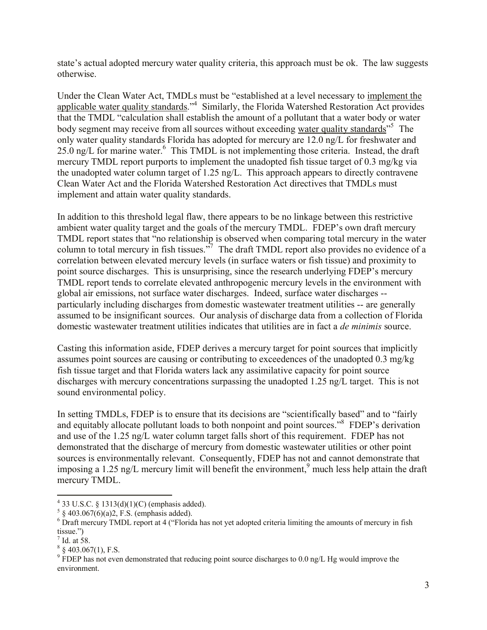state's actual adopted mercury water quality criteria, this approach must be ok. The law suggests otherwise.

Under the Clean Water Act, TMDLs must be "established at a level necessary to implement the applicable water quality standards."<sup>4</sup> Similarly, the Florida Watershed Restoration Act provides that the TMDL "calculation shall establish the amount of a pollutant that a water body or water body segment may receive from all sources without exceeding water quality standards"<sup>5</sup> The only water quality standards Florida has adopted for mercury are 12.0 ng/L for freshwater and 25.0 ng/L for marine water.<sup>6</sup> This TMDL is not implementing those criteria. Instead, the draft mercury TMDL report purports to implement the unadopted fish tissue target of 0.3 mg/kg via the unadopted water column target of 1.25 ng/L. This approach appears to directly contravene Clean Water Act and the Florida Watershed Restoration Act directives that TMDLs must implement and attain water quality standards.

In addition to this threshold legal flaw, there appears to be no linkage between this restrictive ambient water quality target and the goals of the mercury TMDL. FDEP's own draft mercury TMDL report states that "no relationship is observed when comparing total mercury in the water column to total mercury in fish tissues."<sup>7</sup> The draft TMDL report also provides no evidence of a correlation between elevated mercury levels (in surface waters or fish tissue) and proximity to point source discharges. This is unsurprising, since the research underlying FDEP's mercury TMDL report tends to correlate elevated anthropogenic mercury levels in the environment with global air emissions, not surface water discharges. Indeed, surface water discharges - particularly including discharges from domestic wastewater treatment utilities -- are generally assumed to be insignificant sources. Our analysis of discharge data from a collection of Florida domestic wastewater treatment utilities indicates that utilities are in fact a *de minimis* source.

Casting this information aside, FDEP derives a mercury target for point sources that implicitly assumes point sources are causing or contributing to exceedences of the unadopted 0.3 mg/kg fish tissue target and that Florida waters lack any assimilative capacity for point source discharges with mercury concentrations surpassing the unadopted 1.25 ng/L target. This is not sound environmental policy.

In setting TMDLs, FDEP is to ensure that its decisions are "scientifically based" and to "fairly and equitably allocate pollutant loads to both nonpoint and point sources."<sup>8</sup> FDEP's derivation and use of the 1.25 ng/L water column target falls short of this requirement. FDEP has not demonstrated that the discharge of mercury from domestic wastewater utilities or other point sources is environmentally relevant. Consequently, FDEP has not and cannot demonstrate that imposing a 1.25 ng/L mercury limit will benefit the environment,  $\frac{9}{1}$  much less help attain the draft mercury TMDL.

 $\overline{a}$ 

 $4$  33 U.S.C. § 1313(d)(1)(C) (emphasis added).

 $5 \S 403.067(6)(a)2, F.S.$  (emphasis added).

<sup>&</sup>lt;sup>6</sup> Draft mercury TMDL report at 4 ("Florida has not yet adopted criteria limiting the amounts of mercury in fish tissue.")

 $<sup>7</sup>$  Id. at 58.</sup>

 $8\$  403.067(1), F.S.

 $9$  FDEP has not even demonstrated that reducing point source discharges to 0.0 ng/L Hg would improve the environment.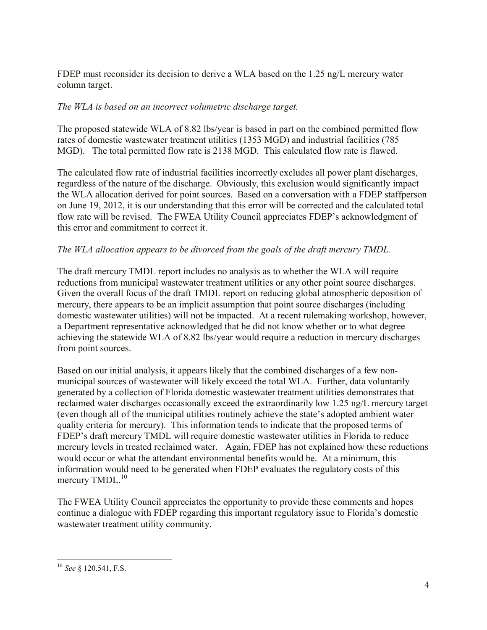FDEP must reconsider its decision to derive a WLA based on the 1.25 ng/L mercury water column target.

## *The WLA is based on an incorrect volumetric discharge target.*

The proposed statewide WLA of 8.82 lbs/year is based in part on the combined permitted flow rates of domestic wastewater treatment utilities (1353 MGD) and industrial facilities (785 MGD). The total permitted flow rate is 2138 MGD. This calculated flow rate is flawed.

The calculated flow rate of industrial facilities incorrectly excludes all power plant discharges, regardless of the nature of the discharge. Obviously, this exclusion would significantly impact the WLA allocation derived for point sources. Based on a conversation with a FDEP staffperson on June 19, 2012, it is our understanding that this error will be corrected and the calculated total flow rate will be revised. The FWEA Utility Council appreciates FDEP's acknowledgment of this error and commitment to correct it.

## *The WLA allocation appears to be divorced from the goals of the draft mercury TMDL.*

The draft mercury TMDL report includes no analysis as to whether the WLA will require reductions from municipal wastewater treatment utilities or any other point source discharges. Given the overall focus of the draft TMDL report on reducing global atmospheric deposition of mercury, there appears to be an implicit assumption that point source discharges (including domestic wastewater utilities) will not be impacted. At a recent rulemaking workshop, however, a Department representative acknowledged that he did not know whether or to what degree achieving the statewide WLA of 8.82 lbs/year would require a reduction in mercury discharges from point sources.

Based on our initial analysis, it appears likely that the combined discharges of a few nonmunicipal sources of wastewater will likely exceed the total WLA. Further, data voluntarily generated by a collection of Florida domestic wastewater treatment utilities demonstrates that reclaimed water discharges occasionally exceed the extraordinarily low 1.25 ng/L mercury target (even though all of the municipal utilities routinely achieve the state's adopted ambient water quality criteria for mercury). This information tends to indicate that the proposed terms of FDEP's draft mercury TMDL will require domestic wastewater utilities in Florida to reduce mercury levels in treated reclaimed water. Again, FDEP has not explained how these reductions would occur or what the attendant environmental benefits would be. At a minimum, this information would need to be generated when FDEP evaluates the regulatory costs of this mercury TMDL.<sup>10</sup>

The FWEA Utility Council appreciates the opportunity to provide these comments and hopes continue a dialogue with FDEP regarding this important regulatory issue to Florida's domestic wastewater treatment utility community.

 $\overline{a}$ <sup>10</sup> *See* § 120.541, F.S.